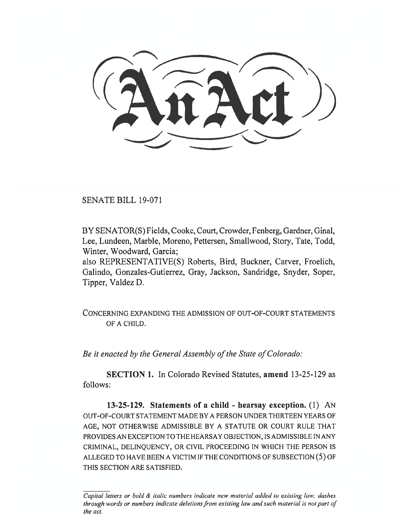SENATE BILL 19-071

BY SENATOR(S) Fields, Cooke, Court, Crowder, Fenberg, Gardner, Ginal, Lee, Lundeen, Marble, Moreno, Pettersen, Smallwood, Story, Tate, Todd, Winter, Woodward, Garcia;

also REPRESENTATIVE(S) Roberts, Bird, Buckner, Carver, Froelich, Galindo, Gonzales-Gutierrez, Gray, Jackson, Sandridge, Snyder, Soper, Tipper, Valdez D.

CONCERNING EXPANDING THE ADMISSION OF OUT-OF-COURT STATEMENTS OF A CHILD.

*Be it enacted by the General Assembly of the State of Colorado:* 

**SECTION 1.** In Colorado Revised Statutes, **amend** 13-25-129 as follows:

**13-25-129. Statements of a child - hearsay exception.** (1) AN OUT-OF-COURT STATEMENT MADE BY A PERSON UNDER THIRTEEN YEARS OF AGE, NOT OTHERWISE ADMISSIBLE BY A STATUTE OR COURT RULE THAT PROVIDES AN EXCEPTION TO THE HEARSAY OBJECTION, IS ADMISSIBLE IN ANY CRIMINAL, DELINQUENCY, OR CIVIL PROCEEDING IN WHICH THE PERSON IS ALLEGED TO HAVE BEEN A VICTIM IF THE CONDITIONS OF SUBSECTION (5) OF THIS SECTION ARE SATISFIED.

*Capital letters or bold & italic numbers indicate new material added to existing law; dashes through words or numbers indicate deletions from existing law and such material is not part of the act.*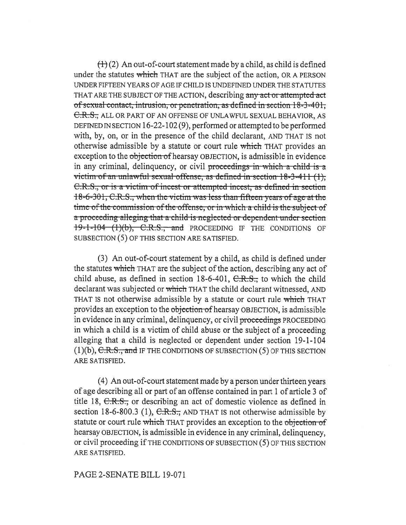$t\rightarrow(2)$  An out-of-court statement made by a child, as child is defined under the statutes which THAT are the subject of the action, OR A PERSON UNDER FIFTEEN YEARS OF AGE IF CHILD IS UNDEFINED UNDER THE STATUTES THAT ARE THE SUBJECT OF THE ACTION, describing any act or attempted act of sexual contact, intrusion, or penetration, as defined in section  $18-3-401$ , C.R.S., ALL OR PART OF AN OFFENSE OF UNLAWFUL SEXUAL BEHAVIOR, AS DEFINED IN SECTION 16-22-102 (9), performed or attempted to be performed with, by, on, or in the presence of the child declarant, AND THAT IS not otherwise admissible by a statute or court rule which THAT provides an exception to the objection of hearsay OBJECTION, is admissible in evidence in any criminal, delinquency, or civil proceedings in which a child is a victim of an unlawful sexual offense, as defined in section 18-3-411 (1). C.R.S., or is a victim of incest or attempted incest, as defined in section 18-6-301, C.R.S., when the victim was less than fifteen years of age at the time of the commission of the offense, or in which a child is the subject of a proceeding alleging that a child is neglected or dependent under section  $19-1-104$   $(1)(b)$ , C.R.S., and PROCEEDING IF THE CONDITIONS OF SUBSECTION (5) OF THIS SECTION ARE SATISFIED.

(3) An out-of-court statement by a child, as child is defined under the statutes which THAT are the subject of the action, describing any act of child abuse, as defined in section  $18-6-401$ ,  $C.R.S.,$  to which the child declarant was subjected or which THAT the child declarant witnessed, AND THAT IS not otherwise admissible by a statute or court rule which THAT provides an exception to the objection of hearsay OBJECTION, is admissible in evidence in any criminal, delinquency, or civil proceedings PROCEEDING in which a child is a victim of child abuse or the subject of a proceeding alleging that a child is neglected or dependent under section 19-1-104 (1)(b), C.R.S., and IF THE CONDITIONS OF SUBSECTION (5) OF THIS SECTION ARE SATISFIED.

(4) An out-of-court statement made by a person under thirteen years of age describing all or part of an offense contained in part 1 of article 3 of title 18, C.R.S., or describing an act of domestic violence as defined in section 18-6-800.3 (1),  $C.R.S.,$  AND THAT IS not otherwise admissible by statute or court rule which THAT provides an exception to the objection of hearsay OBJECTION, is admissible in evidence in any criminal, delinquency, or civil proceeding if THE CONDITIONS OF SUBSECTION (5) OF THIS SECTION ARE SATISFIED.

## PAGE 2-SENATE BILL 19-071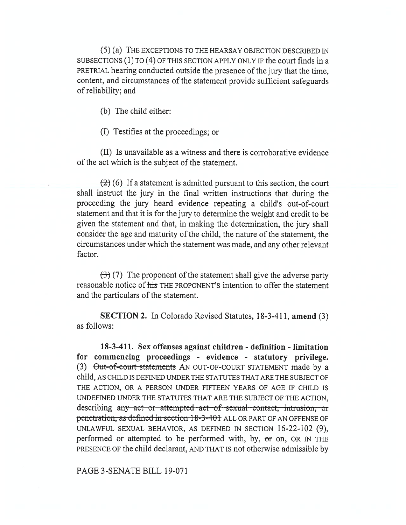(5) (a) THE EXCEPTIONS TO THE HEARSAY OBJECTION DESCRIBED IN SUBSECTIONS (1) TO (4) OF THIS SECTION APPLY ONLY IF the court finds in a PRETRIAL hearing conducted outside the presence of the jury that the time, content, and circumstances of the statement provide sufficient safeguards of reliability; and

(b) The child either:

(I) Testifies at the proceedings; or

(II) Is unavailable as a witness and there is corroborative evidence of the act which is the subject of the statement.

 $(2)$  (6) If a statement is admitted pursuant to this section, the court shall instruct the jury in the final written instructions that during the proceeding the jury heard evidence repeating a child's out-of-court statement and that it is for the jury to determine the weight and credit to be given the statement and that, in making the determination, the jury shall consider the age and maturity of the child, the nature of the statement, the circumstances under which the statement was made, and any other relevant factor.

 $\left(\frac{1}{2}\right)$  (7) The proponent of the statement shall give the adverse party reasonable notice of his THE PROPONENT'S intention to offer the statement and the particulars of the statement.

**SECTION 2.** In Colorado Revised Statutes, 18-3-411, **amend** (3) as follows:

**18-3-411. Sex offenses against children - definition - limitation for commencing proceedings - evidence - statutory privilege.**  (3) Out-of-court statements AN OUT-OF-COURT STATEMENT made by a child, AS CHILD IS DEFINED UNDER THE STATUTES THAT ARE THE SUBJECT OF THE ACTION, OR A PERSON UNDER FIFTEEN YEARS OF AGE IF CHILD IS UNDEFINED UNDER THE STATUTES THAT ARE THE SUBJECT OF THE ACTION, describing any act or attempted act of sexual contact, intrusion, or penetration, as defined in section 18-3-401 ALL OR PART OF AN OFFENSE OF UNLAWFUL SEXUAL BEHAVIOR, AS DEFINED IN SECTION 16-22-102 (9), performed or attempted to be performed with, by, **or** on, OR IN THE PRESENCE OF the child declarant, AND THAT IS not otherwise admissible by

PAGE 3-SENATE BILL 19-071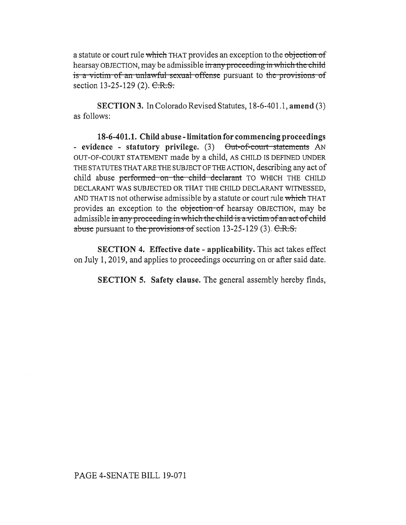a statute or court rule which THAT provides an exception to the objection of hearsay OBJECTION, may be admissible in any proceeding in which the child is a victim of an unlawful sexual offense pursuant to the provisions of section  $13-25-129$  (2).  $C.R.S.$ 

**SECTION 3.** In Colorado Revised Statutes, 18-6-401.1, **amend** (3) as follows:

**18-6-401.1. Child abuse - limitation for commencing proceedings**  - evidence - statutory privilege. (3) Out-of-court statements AN OUT-OF-COURT STATEMENT made by a child, AS CHILD IS DEFINED UNDER THE STATUTES THAT ARE THE SUBJECT OF THE ACTION, describing any act of child abuse performed on the child declarant TO WHICH THE CHILD DECLARANT WAS SUBJECTED OR THAT THE CHILD DECLARANT WITNESSED, AND THAT IS not otherwise admissible by a statute or court rule which THAT provides an exception to the objection of hearsay OBJECTION, may be admissible in any proceeding in which the child is a victim of an act of child abuse pursuant to the provisions of section  $13-25-129$  (3).  $C.R.S.$ 

**SECTION 4. Effective date - applicability.** This act takes effect on July 1, 2019, and applies to proceedings occurring on or after said date.

**SECTION 5. Safety clause.** The general assembly hereby finds,